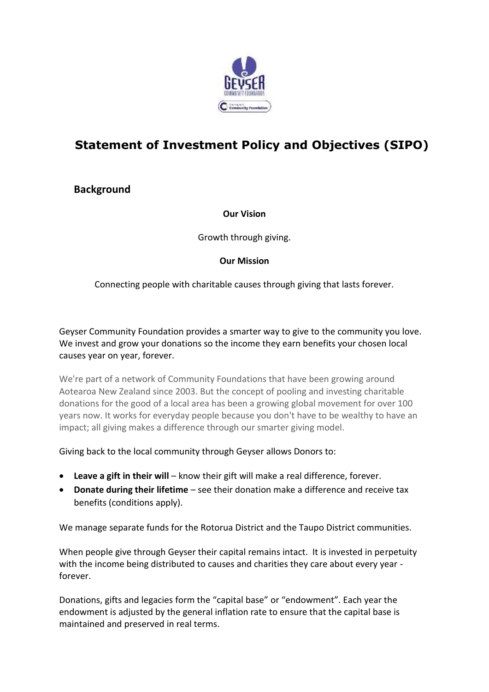

# **Statement of Investment Policy and Objectives (SIPO)**

**Background** 

**Our Vision**

Growth through giving.

### **Our Mission**

Connecting people with charitable causes through giving that lasts forever.

Geyser Community Foundation provides a smarter way to give to the community you love. We invest and grow your donations so the income they earn benefits your chosen local causes year on year, forever.

We're part of a network of Community Foundations that have been growing around Aotearoa New Zealand since 2003. But the concept of pooling and investing charitable donations for the good of a local area has been a growing global movement for over 100 years now. It works for everyday people because you don't have to be wealthy to have an impact; all giving makes a difference through our smarter giving model.

Giving back to the local community through Geyser allows Donors to:

- **Leave a gift in their will** know their gift will make a real difference, forever.
- **Donate during their lifetime** see their donation make a difference and receive tax benefits (conditions apply).

We manage separate funds for the Rotorua District and the Taupo District communities.

When people give through Geyser their capital remains intact. It is invested in perpetuity with the income being distributed to causes and charities they care about every year forever.

Donations, gifts and legacies form the "capital base" or "endowment". Each year the endowment is adjusted by the general inflation rate to ensure that the capital base is maintained and preserved in real terms.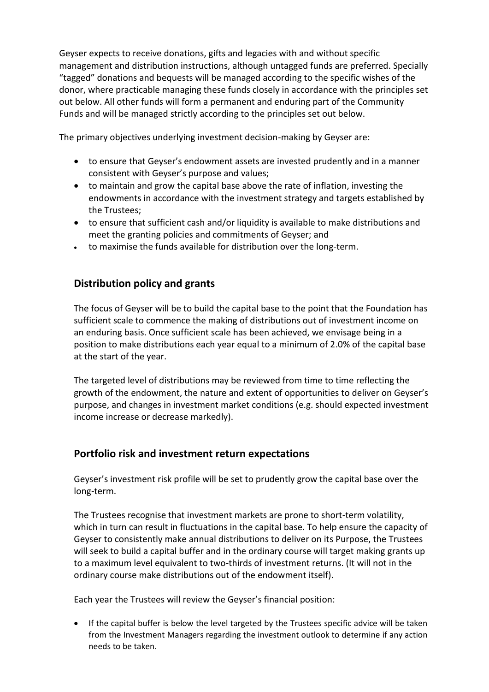Geyser expects to receive donations, gifts and legacies with and without specific management and distribution instructions, although untagged funds are preferred. Specially "tagged" donations and bequests will be managed according to the specific wishes of the donor, where practicable managing these funds closely in accordance with the principles set out below. All other funds will form a permanent and enduring part of the Community Funds and will be managed strictly according to the principles set out below.

The primary objectives underlying investment decision-making by Geyser are:

- to ensure that Geyser's endowment assets are invested prudently and in a manner consistent with Geyser's purpose and values;
- to maintain and grow the capital base above the rate of inflation, investing the endowments in accordance with the investment strategy and targets established by the Trustees;
- to ensure that sufficient cash and/or liquidity is available to make distributions and meet the granting policies and commitments of Geyser; and
- to maximise the funds available for distribution over the long-term.

## **Distribution policy and grants**

The focus of Geyser will be to build the capital base to the point that the Foundation has sufficient scale to commence the making of distributions out of investment income on an enduring basis. Once sufficient scale has been achieved, we envisage being in a position to make distributions each year equal to a minimum of 2.0% of the capital base at the start of the year.

The targeted level of distributions may be reviewed from time to time reflecting the growth of the endowment, the nature and extent of opportunities to deliver on Geyser's purpose, and changes in investment market conditions (e.g. should expected investment income increase or decrease markedly).

## **Portfolio risk and investment return expectations**

Geyser's investment risk profile will be set to prudently grow the capital base over the long-term.

The Trustees recognise that investment markets are prone to short-term volatility, which in turn can result in fluctuations in the capital base. To help ensure the capacity of Geyser to consistently make annual distributions to deliver on its Purpose, the Trustees will seek to build a capital buffer and in the ordinary course will target making grants up to a maximum level equivalent to two-thirds of investment returns. (It will not in the ordinary course make distributions out of the endowment itself).

Each year the Trustees will review the Geyser's financial position:

 If the capital buffer is below the level targeted by the Trustees specific advice will be taken from the Investment Managers regarding the investment outlook to determine if any action needs to be taken.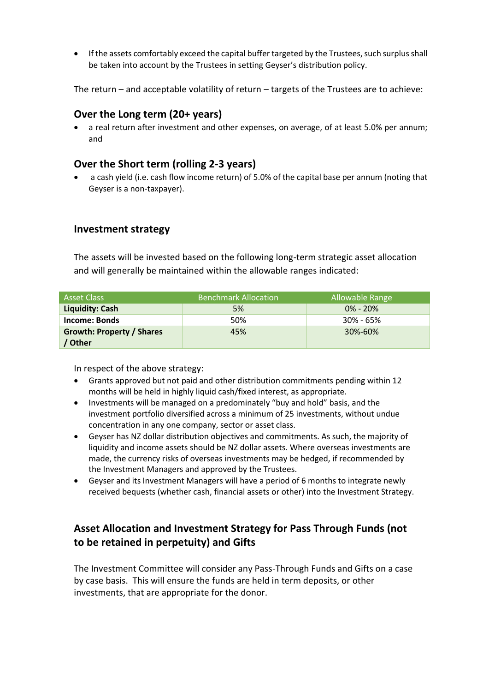If the assets comfortably exceed the capital buffer targeted by the Trustees, such surplus shall be taken into account by the Trustees in setting Geyser's distribution policy.

The return – and acceptable volatility of return – targets of the Trustees are to achieve:

### **Over the Long term (20+ years)**

 a real return after investment and other expenses, on average, of at least 5.0% per annum; and

## **Over the Short term (rolling 2-3 years)**

 a cash yield (i.e. cash flow income return) of 5.0% of the capital base per annum (noting that Geyser is a non-taxpayer).

#### **Investment strategy**

The assets will be invested based on the following long-term strategic asset allocation and will generally be maintained within the allowable ranges indicated:

| l Asset Class                    | <b>Benchmark Allocation</b> | Allowable Range |
|----------------------------------|-----------------------------|-----------------|
| Liquidity: Cash                  | 5%                          | $0\% - 20\%$    |
| <b>Income: Bonds</b>             | 50%                         | $30\% - 65\%$   |
| <b>Growth: Property / Shares</b> | 45%                         | 30%-60%         |
| <b>Other</b>                     |                             |                 |

In respect of the above strategy:

- Grants approved but not paid and other distribution commitments pending within 12 months will be held in highly liquid cash/fixed interest, as appropriate.
- Investments will be managed on a predominately "buy and hold" basis, and the investment portfolio diversified across a minimum of 25 investments, without undue concentration in any one company, sector or asset class.
- Geyser has NZ dollar distribution objectives and commitments. As such, the majority of liquidity and income assets should be NZ dollar assets. Where overseas investments are made, the currency risks of overseas investments may be hedged, if recommended by the Investment Managers and approved by the Trustees.
- Geyser and its Investment Managers will have a period of 6 months to integrate newly received bequests (whether cash, financial assets or other) into the Investment Strategy.

# **Asset Allocation and Investment Strategy for Pass Through Funds (not to be retained in perpetuity) and Gifts**

The Investment Committee will consider any Pass-Through Funds and Gifts on a case by case basis. This will ensure the funds are held in term deposits, or other investments, that are appropriate for the donor.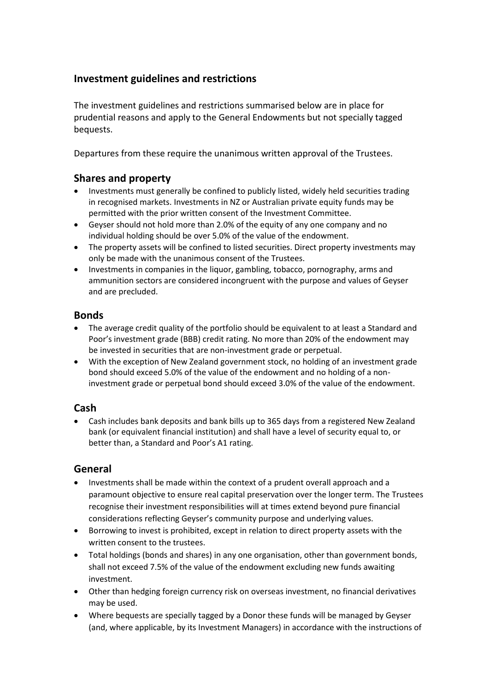## **Investment guidelines and restrictions**

The investment guidelines and restrictions summarised below are in place for prudential reasons and apply to the General Endowments but not specially tagged bequests.

Departures from these require the unanimous written approval of the Trustees.

## **Shares and property**

- Investments must generally be confined to publicly listed, widely held securities trading in recognised markets. Investments in NZ or Australian private equity funds may be permitted with the prior written consent of the Investment Committee.
- Geyser should not hold more than 2.0% of the equity of any one company and no individual holding should be over 5.0% of the value of the endowment.
- The property assets will be confined to listed securities. Direct property investments may only be made with the unanimous consent of the Trustees.
- Investments in companies in the liquor, gambling, tobacco, pornography, arms and ammunition sectors are considered incongruent with the purpose and values of Geyser and are precluded.

### **Bonds**

- The average credit quality of the portfolio should be equivalent to at least a Standard and Poor's investment grade (BBB) credit rating. No more than 20% of the endowment may be invested in securities that are non-investment grade or perpetual.
- With the exception of New Zealand government stock, no holding of an investment grade bond should exceed 5.0% of the value of the endowment and no holding of a noninvestment grade or perpetual bond should exceed 3.0% of the value of the endowment.

## **Cash**

 Cash includes bank deposits and bank bills up to 365 days from a registered New Zealand bank (or equivalent financial institution) and shall have a level of security equal to, or better than, a Standard and Poor's A1 rating.

## **General**

- Investments shall be made within the context of a prudent overall approach and a paramount objective to ensure real capital preservation over the longer term. The Trustees recognise their investment responsibilities will at times extend beyond pure financial considerations reflecting Geyser's community purpose and underlying values.
- Borrowing to invest is prohibited, except in relation to direct property assets with the written consent to the trustees.
- Total holdings (bonds and shares) in any one organisation, other than government bonds, shall not exceed 7.5% of the value of the endowment excluding new funds awaiting investment.
- Other than hedging foreign currency risk on overseas investment, no financial derivatives may be used.
- Where bequests are specially tagged by a Donor these funds will be managed by Geyser (and, where applicable, by its Investment Managers) in accordance with the instructions of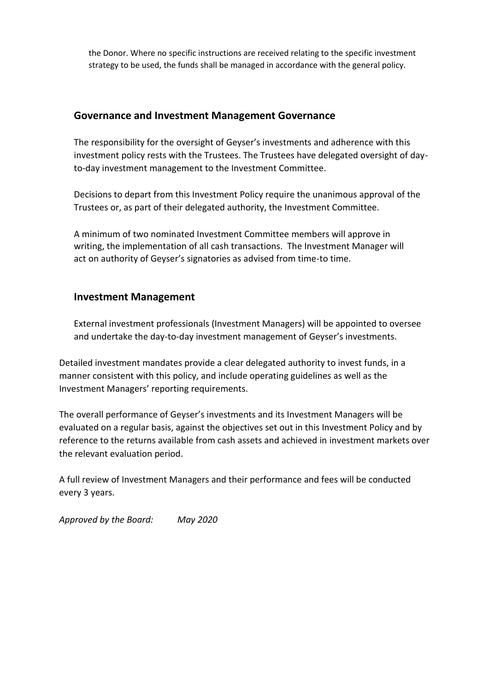the Donor. Where no specific instructions are received relating to the specific investment strategy to be used, the funds shall be managed in accordance with the general policy.

#### **Governance and Investment Management Governance**

The responsibility for the oversight of Geyser's investments and adherence with this investment policy rests with the Trustees. The Trustees have delegated oversight of dayto-day investment management to the Investment Committee.

Decisions to depart from this Investment Policy require the unanimous approval of the Trustees or, as part of their delegated authority, the Investment Committee.

A minimum of two nominated Investment Committee members will approve in writing, the implementation of all cash transactions. The Investment Manager will act on authority of Geyser's signatories as advised from time-to time.

#### **Investment Management**

External investment professionals (Investment Managers) will be appointed to oversee and undertake the day-to-day investment management of Geyser's investments.

Detailed investment mandates provide a clear delegated authority to invest funds, in a manner consistent with this policy, and include operating guidelines as well as the Investment Managers' reporting requirements.

The overall performance of Geyser's investments and its Investment Managers will be evaluated on a regular basis, against the objectives set out in this Investment Policy and by reference to the returns available from cash assets and achieved in investment markets over the relevant evaluation period.

A full review of Investment Managers and their performance and fees will be conducted every 3 years.

*Approved by the Board: May 2020*